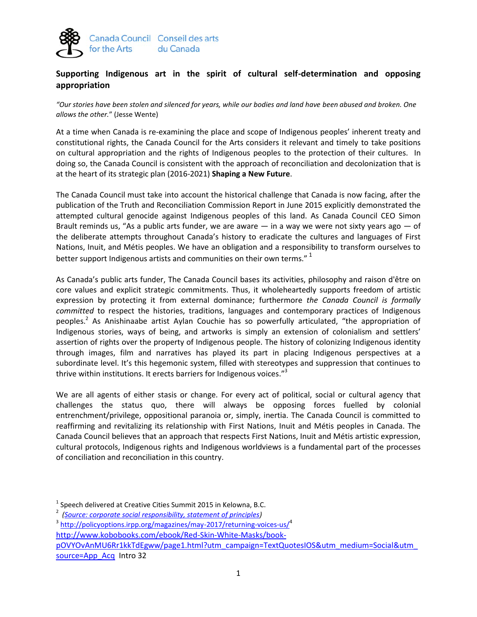

## **Supporting Indigenous art in the spirit of cultural self-determination and opposing appropriation**

*"Our stories have been stolen and silenced for years, while our bodies and land have been abused and broken. One allows the other.*" (Jesse Wente)

At a time when Canada is re-examining the place and scope of Indigenous peoples' inherent treaty and constitutional rights, the Canada Council for the Arts considers it relevant and timely to take positions on cultural appropriation and the rights of Indigenous peoples to the protection of their cultures. In doing so, the Canada Council is consistent with the approach of reconciliation and decolonization that is at the heart of its strategic plan (2016-2021) **Shaping a New Future**.

The Canada Council must take into account the historical challenge that Canada is now facing, after the publication of the Truth and Reconciliation Commission Report in June 2015 explicitly demonstrated the attempted cultural genocide against Indigenous peoples of this land. As Canada Council CEO Simon Brault reminds us, "As a public arts funder, we are aware  $-$  in a way we were not sixty years ago  $-$  of the deliberate attempts throughout Canada's history to eradicate the cultures and languages of First Nations, Inuit, and Métis peoples. We have an obligation and a responsibility to transform ourselves to better support Indigenous artists and communities on their own terms." <sup>1</sup>

As Canada's public arts funder, The Canada Council bases its activities, philosophy and raison d'être on core values and explicit strategic commitments. Thus, it wholeheartedly supports freedom of artistic expression by protecting it from external dominance; furthermore *the Canada Council is formally committed* to respect the histories, traditions, languages and contemporary practices of Indigenous peoples.<sup>2</sup> As Anishinaabe artist Aylan Couchie has so powerfully articulated, "the appropriation of Indigenous stories, ways of being, and artworks is simply an extension of colonialism and settlers' assertion of rights over the property of Indigenous people. The history of colonizing Indigenous identity through images, film and narratives has played its part in placing Indigenous perspectives at a subordinate level. It's this hegemonic system, filled with stereotypes and suppression that continues to thrive within institutions. It erects barriers for Indigenous voices."<sup>3</sup>

We are all agents of either stasis or change. For every act of political, social or cultural agency that challenges the status quo, there will always be opposing forces fuelled by colonial entrenchment/privilege, oppositional paranoia or, simply, inertia. The Canada Council is committed to reaffirming and revitalizing its relationship with First Nations, Inuit and Métis peoples in Canada. The Canada Council believes that an approach that respects First Nations, Inuit and Métis artistic expression, cultural protocols, Indigenous rights and Indigenous worldviews is a fundamental part of the processes of conciliation and reconciliation in this country.

<sup>3</sup> <http://policyoptions.irpp.org/magazines/may-2017/returning-voices-us/><sup>4</sup>

[http://www.kobobooks.com/ebook/Red-Skin-White-Masks/book-](http://www.kobobooks.com/ebook/Red-Skin-White-Masks/book-pOVYOvAnMU6Rr1kkTdEgww/page1.html?utm_campaign=TextQuotesIOS&utm_medium=Social&utm_source=App_Acq)

[pOVYOvAnMU6Rr1kkTdEgww/page1.html?utm\\_campaign=TextQuotesIOS&utm\\_medium=Social&utm\\_](http://www.kobobooks.com/ebook/Red-Skin-White-Masks/book-pOVYOvAnMU6Rr1kkTdEgww/page1.html?utm_campaign=TextQuotesIOS&utm_medium=Social&utm_source=App_Acq) [source=App\\_Acq](http://www.kobobooks.com/ebook/Red-Skin-White-Masks/book-pOVYOvAnMU6Rr1kkTdEgww/page1.html?utm_campaign=TextQuotesIOS&utm_medium=Social&utm_source=App_Acq) Intro 32

 $^1$  Speech delivered at Creative Cities Summit 2015 in Kelowna, B.C.

<sup>2</sup>  *[\(Source: corporate social responsibility, statement of principles\)](http://canadacouncil.ca/about/governance/corporate-policies)*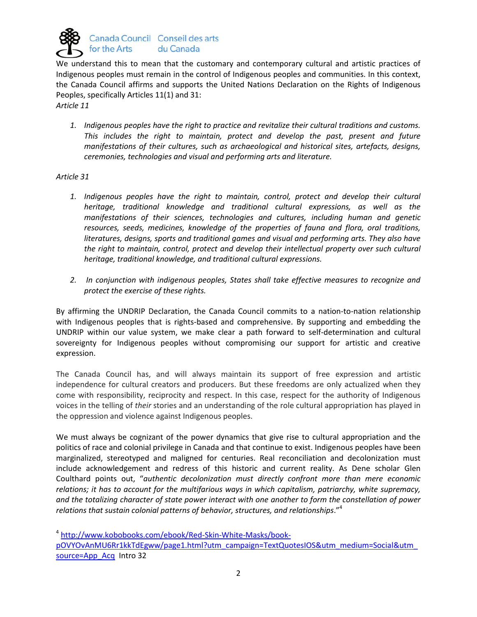

We understand this to mean that the customary and contemporary cultural and artistic practices of Indigenous peoples must remain in the control of Indigenous peoples and communities. In this context, the Canada Council affirms and supports the United Nations Declaration on the Rights of Indigenous Peoples, specifically Articles 11(1) and 31:

*Article 11* 

*1. Indigenous peoples have the right to practice and revitalize their cultural traditions and customs. This includes the right to maintain, protect and develop the past, present and future manifestations of their cultures, such as archaeological and historical sites, artefacts, designs, ceremonies, technologies and visual and performing arts and literature.* 

## *Article 31*

- 1. Indigenous peoples have the right to maintain, control, protect and develop their cultural *heritage, traditional knowledge and traditional cultural expressions, as well as the manifestations of their sciences, technologies and cultures, including human and genetic resources, seeds, medicines, knowledge of the properties of fauna and flora, oral traditions, literatures, designs, sports and traditional games and visual and performing arts. They also have the right to maintain, control, protect and develop their intellectual property over such cultural heritage, traditional knowledge, and traditional cultural expressions.*
- *2. In conjunction with indigenous peoples, States shall take effective measures to recognize and protect the exercise of these rights.*

By affirming the UNDRIP Declaration, the Canada Council commits to a nation-to-nation relationship with Indigenous peoples that is rights-based and comprehensive. By supporting and embedding the UNDRIP within our value system, we make clear a path forward to self-determination and cultural sovereignty for Indigenous peoples without compromising our support for artistic and creative expression.

The Canada Council has, and will always maintain its support of free expression and artistic independence for cultural creators and producers. But these freedoms are only actualized when they come with responsibility, reciprocity and respect. In this case, respect for the authority of Indigenous voices in the telling of *their* stories and an understanding of the role cultural appropriation has played in the oppression and violence against Indigenous peoples.

We must always be cognizant of the power dynamics that give rise to cultural appropriation and the politics of race and colonial privilege in Canada and that continue to exist. Indigenous peoples have been marginalized, stereotyped and maligned for centuries. Real reconciliation and decolonization must include acknowledgement and redress of this historic and current reality. As Dene scholar Glen Coulthard points out, "*authentic decolonization must directly confront more than mere economic relations; it has to account for the multifarious ways in which capitalism, patriarchy, white supremacy, and the totalizing character of state power interact with one another to form the constellation of power relations that sustain colonial patterns of behavior, structures, and relationships*."<sup>4</sup>

4 [http://www.kobobooks.com/ebook/Red-Skin-White-Masks/book](http://www.kobobooks.com/ebook/Red-Skin-White-Masks/book-pOVYOvAnMU6Rr1kkTdEgww/page1.html?utm_campaign=TextQuotesIOS&utm_medium=Social&utm_source=App_Acq)[pOVYOvAnMU6Rr1kkTdEgww/page1.html?utm\\_campaign=TextQuotesIOS&utm\\_medium=Social&utm\\_](http://www.kobobooks.com/ebook/Red-Skin-White-Masks/book-pOVYOvAnMU6Rr1kkTdEgww/page1.html?utm_campaign=TextQuotesIOS&utm_medium=Social&utm_source=App_Acq)

[source=App\\_Acq](http://www.kobobooks.com/ebook/Red-Skin-White-Masks/book-pOVYOvAnMU6Rr1kkTdEgww/page1.html?utm_campaign=TextQuotesIOS&utm_medium=Social&utm_source=App_Acq) Intro 32